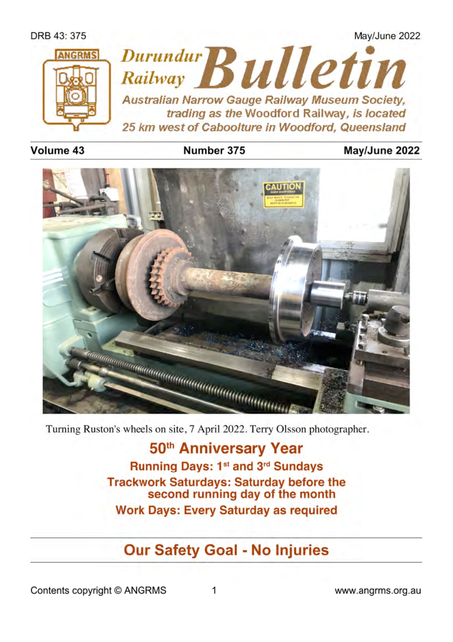

#### Volume 43

## Number 375

## Mav/June 2022



Turning Ruston's wheels on site, 7 April 2022. Terry Olsson photographer.

50th Anniversary Year Running Days: 1<sup>st</sup> and 3<sup>rd</sup> Sundays **Trackwork Saturdays: Saturday before the** second running day of the month **Work Days: Every Saturday as required** 

# **Our Safety Goal - No Injuries**

Contents copyright © ANGRMS

www.angrms.org.au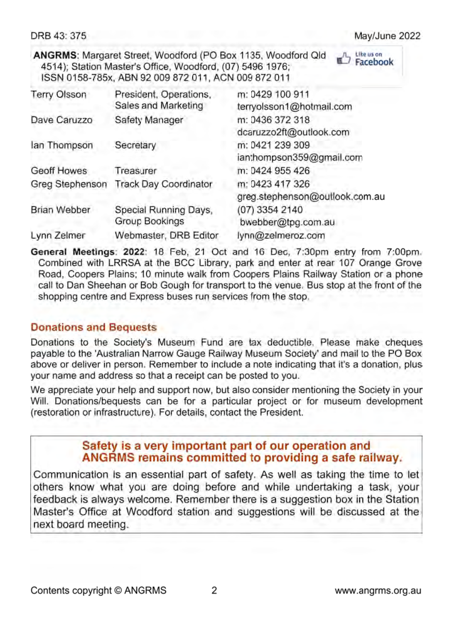DRB 43: 375

Like us on Facebook

ANGRMS: Margaret Street, Woodford (PO Box 1135, Woodford Old 4514): Station Master's Office, Woodford, (07) 5496 1976; ISSN 0158-785x, ABN 92 009 872 011, ACN 009 872 011

| <b>Terry Olsson</b> | President, Operations,<br>Sales and Marketing | m: 0429 100 911<br>terryolsson1@hotmail.com       |  |
|---------------------|-----------------------------------------------|---------------------------------------------------|--|
| Dave Caruzzo        | Safety Manager                                | m: 0436 372 318<br>dcaruzzo2ft@outlook.com        |  |
| lan Thompson        | Secretary                                     | m: 0421 239 309<br>ian:hompson359@gmail.com       |  |
| <b>Geoff Howes</b>  | Treasurer                                     | m: 0424 955 426                                   |  |
| Greg Stephenson     | <b>Track Day Coordinator</b>                  | m: 0423 417 326<br>greg.stephenson@outlook.com.au |  |
| <b>Brian Webber</b> | Special Running Days,<br>Group Bookings       | (07) 3354 2140<br>bwebber@tpg.com.au              |  |
| Lynn Zelmer         | Webmaster, DRB Editor                         | lynn@zelmeroz.com                                 |  |

General Meetings: 2022: 18 Feb, 21 Oct and 16 Dec, 7:30pm entry from 7:00pm. Combined with LRRSA at the BCC Library, park and enter at rear 107 Orange Grove Road, Coopers Plains; 10 minute walk from Coopers Plains Railway Station or a phone call to Dan Sheehan or Bob Gough for transport to the venue. Bus stop at the front of the shopping centre and Express buses run services from the stop.

## **Donations and Bequests**

Donations to the Society's Museum Fund are tax deductible. Please make cheques payable to the 'Australian Narrow Gauge Railway Museum Society' and mail to the PO Box above or deliver in person. Remember to include a note indicating that it's a donation, plus your name and address so that a receipt can be posted to you.

We appreciate your help and support now, but also consider mentioning the Society in your Will. Donations/bequests can be for a particular project or for museum development (restoration or infrastructure). For details, contact the President.

## Safety is a very important part of our operation and ANGRMS remains committed to providing a safe railway.

Communication is an essential part of safety. As well as taking the time to let others know what you are doing before and while undertaking a task, your feedback is always welcome. Remember there is a suggestion box in the Station Master's Office at Woodford station and suggestions will be discussed at the next board meeting.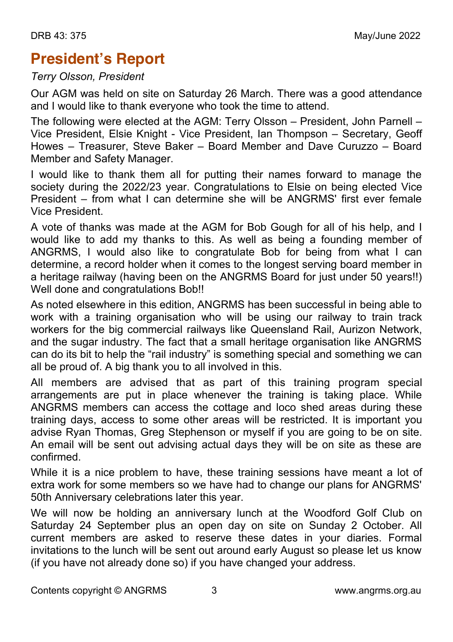# **President's Report**

## *Terry Olsson, President*

Our AGM was held on site on Saturday 26 March. There was a good attendance and I would like to thank everyone who took the time to attend.

The following were elected at the AGM: Terry Olsson – President, John Parnell – Vice President, Elsie Knight - Vice President, Ian Thompson – Secretary, Geoff Howes – Treasurer, Steve Baker – Board Member and Dave Curuzzo – Board Member and Safety Manager.

I would like to thank them all for putting their names forward to manage the society during the 2022/23 year. Congratulations to Elsie on being elected Vice President – from what I can determine she will be ANGRMS' first ever female Vice President.

A vote of thanks was made at the AGM for Bob Gough for all of his help, and I would like to add my thanks to this. As well as being a founding member of ANGRMS, I would also like to congratulate Bob for being from what I can determine, a record holder when it comes to the longest serving board member in a heritage railway (having been on the ANGRMS Board for just under 50 years!!) Well done and congratulations Bob!!

As noted elsewhere in this edition, ANGRMS has been successful in being able to work with a training organisation who will be using our railway to train track workers for the big commercial railways like Queensland Rail, Aurizon Network, and the sugar industry. The fact that a small heritage organisation like ANGRMS can do its bit to help the "rail industry" is something special and something we can all be proud of. A big thank you to all involved in this.

All members are advised that as part of this training program special arrangements are put in place whenever the training is taking place. While ANGRMS members can access the cottage and loco shed areas during these training days, access to some other areas will be restricted. It is important you advise Ryan Thomas, Greg Stephenson or myself if you are going to be on site. An email will be sent out advising actual days they will be on site as these are confirmed.

While it is a nice problem to have, these training sessions have meant a lot of extra work for some members so we have had to change our plans for ANGRMS' 50th Anniversary celebrations later this year.

We will now be holding an anniversary lunch at the Woodford Golf Club on Saturday 24 September plus an open day on site on Sunday 2 October. All current members are asked to reserve these dates in your diaries. Formal invitations to the lunch will be sent out around early August so please let us know (if you have not already done so) if you have changed your address.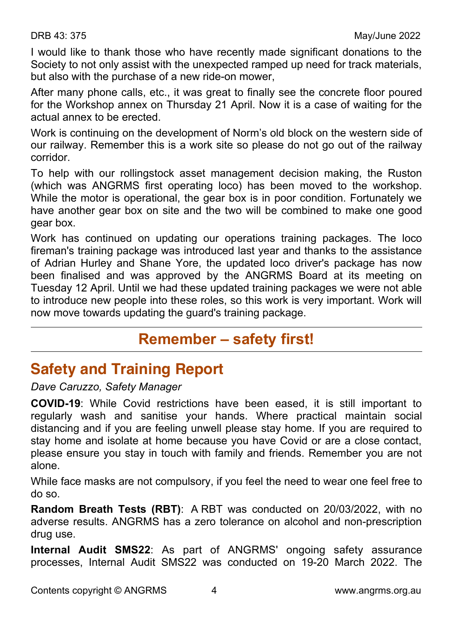I would like to thank those who have recently made significant donations to the Society to not only assist with the unexpected ramped up need for track materials, but also with the purchase of a new ride-on mower,

After many phone calls, etc., it was great to finally see the concrete floor poured for the Workshop annex on Thursday 21 April. Now it is a case of waiting for the actual annex to be erected.

Work is continuing on the development of Norm's old block on the western side of our railway. Remember this is a work site so please do not go out of the railway corridor.

To help with our rollingstock asset management decision making, the Ruston (which was ANGRMS first operating loco) has been moved to the workshop. While the motor is operational, the gear box is in poor condition. Fortunately we have another gear box on site and the two will be combined to make one good gear box.

Work has continued on updating our operations training packages. The loco fireman's training package was introduced last year and thanks to the assistance of Adrian Hurley and Shane Yore, the updated loco driver's package has now been finalised and was approved by the ANGRMS Board at its meeting on Tuesday 12 April. Until we had these updated training packages we were not able to introduce new people into these roles, so this work is very important. Work will now move towards updating the guard's training package.

## **Remember – safety first!**

## **Safety and Training Report**

*Dave Caruzzo, Safety Manager*

**COVID-19**: While Covid restrictions have been eased, it is still important to regularly wash and sanitise your hands. Where practical maintain social distancing and if you are feeling unwell please stay home. If you are required to stay home and isolate at home because you have Covid or are a close contact, please ensure you stay in touch with family and friends. Remember you are not alone.

While face masks are not compulsory, if you feel the need to wear one feel free to do so.

**Random Breath Tests (RBT)**: A RBT was conducted on 20/03/2022, with no adverse results. ANGRMS has a zero tolerance on alcohol and non-prescription drug use.

**Internal Audit SMS22**: As part of ANGRMS' ongoing safety assurance processes, Internal Audit SMS22 was conducted on 19-20 March 2022. The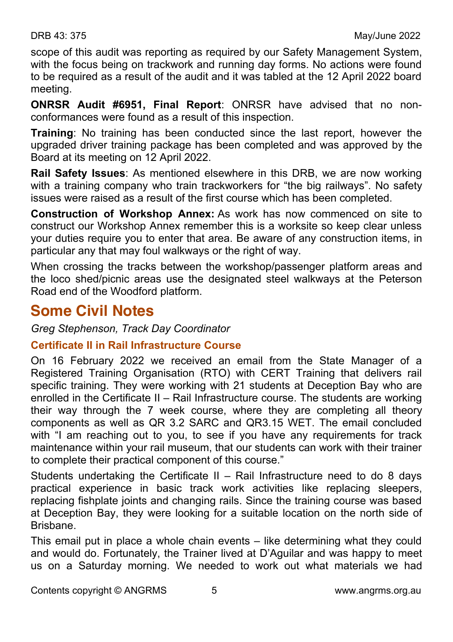scope of this audit was reporting as required by our Safety Management System, with the focus being on trackwork and running day forms. No actions were found to be required as a result of the audit and it was tabled at the 12 April 2022 board meeting.

**ONRSR Audit #6951, Final Report**: ONRSR have advised that no nonconformances were found as a result of this inspection.

**Training**: No training has been conducted since the last report, however the upgraded driver training package has been completed and was approved by the Board at its meeting on 12 April 2022.

**Rail Safety Issues**: As mentioned elsewhere in this DRB, we are now working with a training company who train trackworkers for "the big railways". No safety issues were raised as a result of the first course which has been completed.

**Construction of Workshop Annex:** As work has now commenced on site to construct our Workshop Annex remember this is a worksite so keep clear unless your duties require you to enter that area. Be aware of any construction items, in particular any that may foul walkways or the right of way.

When crossing the tracks between the workshop/passenger platform areas and the loco shed/picnic areas use the designated steel walkways at the Peterson Road end of the Woodford platform.

## **Some Civil Notes**

*Greg Stephenson, Track Day Coordinator*

## **Certificate II in Rail Infrastructure Course**

On 16 February 2022 we received an email from the State Manager of a Registered Training Organisation (RTO) with CERT Training that delivers rail specific training. They were working with 21 students at Deception Bay who are enrolled in the Certificate II – Rail Infrastructure course. The students are working their way through the 7 week course, where they are completing all theory components as well as QR 3.2 SARC and QR3.15 WET. The email concluded with "I am reaching out to you, to see if you have any requirements for track maintenance within your rail museum, that our students can work with their trainer to complete their practical component of this course."

Students undertaking the Certificate II – Rail Infrastructure need to do 8 days practical experience in basic track work activities like replacing sleepers, replacing fishplate joints and changing rails. Since the training course was based at Deception Bay, they were looking for a suitable location on the north side of Brisbane.

This email put in place a whole chain events – like determining what they could and would do. Fortunately, the Trainer lived at D'Aguilar and was happy to meet us on a Saturday morning. We needed to work out what materials we had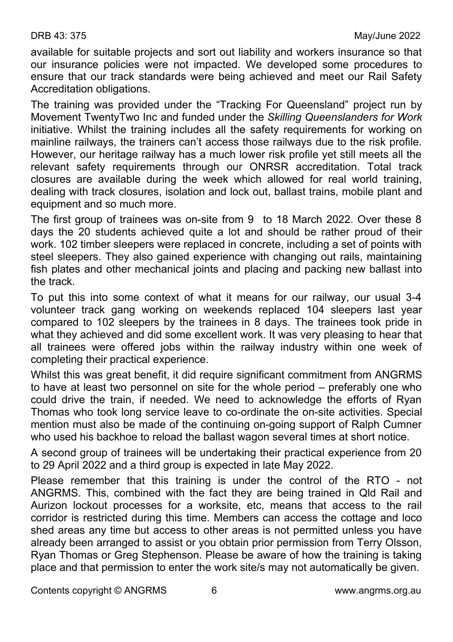available for suitable projects and sort out liability and workers insurance so that our insurance policies were not impacted. We developed some procedures to ensure that our track standards were being achieved and meet our Rail Safety Accreditation obligations.

The training was provided under the "Tracking For Queensland" project run by Movement TwentyTwo Inc and funded under the *Skilling Queenslanders for Work* initiative. Whilst the training includes all the safety requirements for working on mainline railways, the trainers can't access those railways due to the risk profile. However, our heritage railway has a much lower risk profile yet still meets all the relevant safety requirements through our ONRSR accreditation. Total track closures are available during the week which allowed for real world training, dealing with track closures, isolation and lock out, ballast trains, mobile plant and equipment and so much more.

The first group of trainees was on-site from 9 to 18 March 2022. Over these 8 days the 20 students achieved quite a lot and should be rather proud of their work. 102 timber sleepers were replaced in concrete, including a set of points with steel sleepers. They also gained experience with changing out rails, maintaining fish plates and other mechanical joints and placing and packing new ballast into the track.

To put this into some context of what it means for our railway, our usual 3-4 volunteer track gang working on weekends replaced 104 sleepers last year compared to 102 sleepers by the trainees in 8 days. The trainees took pride in what they achieved and did some excellent work. It was very pleasing to hear that all trainees were offered jobs within the railway industry within one week of completing their practical experience.

Whilst this was great benefit, it did require significant commitment from ANGRMS to have at least two personnel on site for the whole period – preferably one who could drive the train, if needed. We need to acknowledge the efforts of Ryan Thomas who took long service leave to co-ordinate the on-site activities. Special mention must also be made of the continuing on-going support of Ralph Cumner who used his backhoe to reload the ballast wagon several times at short notice.

A second group of trainees will be undertaking their practical experience from 20 to 29 April 2022 and a third group is expected in late May 2022.

Please remember that this training is under the control of the RTO - not ANGRMS. This, combined with the fact they are being trained in Qld Rail and Aurizon lockout processes for a worksite, etc, means that access to the rail corridor is restricted during this time. Members can access the cottage and loco shed areas any time but access to other areas is not permitted unless you have already been arranged to assist or you obtain prior permission from Terry Olsson, Ryan Thomas or Greg Stephenson. Please be aware of how the training is taking place and that permission to enter the work site/s may not automatically be given.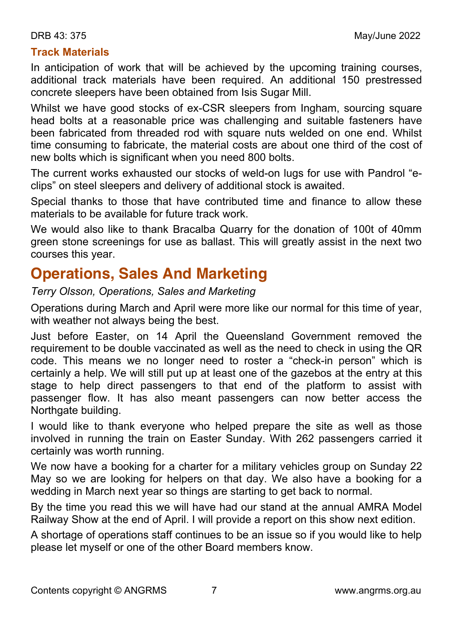## **Track Materials**

In anticipation of work that will be achieved by the upcoming training courses, additional track materials have been required. An additional 150 prestressed concrete sleepers have been obtained from Isis Sugar Mill.

Whilst we have good stocks of ex-CSR sleepers from Ingham, sourcing square head bolts at a reasonable price was challenging and suitable fasteners have been fabricated from threaded rod with square nuts welded on one end. Whilst time consuming to fabricate, the material costs are about one third of the cost of new bolts which is significant when you need 800 bolts.

The current works exhausted our stocks of weld-on lugs for use with Pandrol "eclips" on steel sleepers and delivery of additional stock is awaited.

Special thanks to those that have contributed time and finance to allow these materials to be available for future track work.

We would also like to thank Bracalba Quarry for the donation of 100t of 40mm green stone screenings for use as ballast. This will greatly assist in the next two courses this year.

## **Operations, Sales And Marketing**

*Terry Olsson, Operations, Sales and Marketing*

Operations during March and April were more like our normal for this time of year, with weather not always being the best.

Just before Easter, on 14 April the Queensland Government removed the requirement to be double vaccinated as well as the need to check in using the QR code. This means we no longer need to roster a "check-in person" which is certainly a help. We will still put up at least one of the gazebos at the entry at this stage to help direct passengers to that end of the platform to assist with passenger flow. It has also meant passengers can now better access the Northgate building.

I would like to thank everyone who helped prepare the site as well as those involved in running the train on Easter Sunday. With 262 passengers carried it certainly was worth running.

We now have a booking for a charter for a military vehicles group on Sunday 22 May so we are looking for helpers on that day. We also have a booking for a wedding in March next year so things are starting to get back to normal.

By the time you read this we will have had our stand at the annual AMRA Model Railway Show at the end of April. I will provide a report on this show next edition.

A shortage of operations staff continues to be an issue so if you would like to help please let myself or one of the other Board members know.